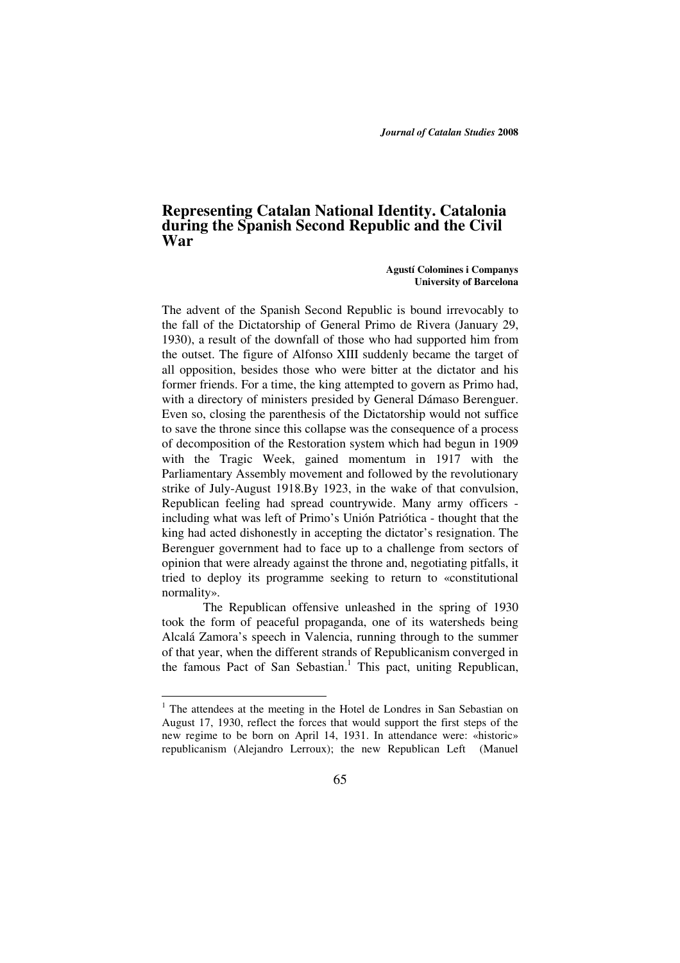*Journal of Catalan Studies* **2008**

# **Representing Catalan National Identity. Catalonia during the Spanish Second Republic and the Civil War**

 **Agustí Colomines i Companys University of Barcelona** 

The advent of the Spanish Second Republic is bound irrevocably to the fall of the Dictatorship of General Primo de Rivera (January 29, 1930), a result of the downfall of those who had supported him from the outset. The figure of Alfonso XIII suddenly became the target of all opposition, besides those who were bitter at the dictator and his former friends. For a time, the king attempted to govern as Primo had, with a directory of ministers presided by General Dámaso Berenguer. Even so, closing the parenthesis of the Dictatorship would not suffice to save the throne since this collapse was the consequence of a process of decomposition of the Restoration system which had begun in 1909 with the Tragic Week, gained momentum in 1917 with the Parliamentary Assembly movement and followed by the revolutionary strike of July-August 1918.By 1923, in the wake of that convulsion, Republican feeling had spread countrywide. Many army officers including what was left of Primo's Unión Patriótica - thought that the king had acted dishonestly in accepting the dictator's resignation. The Berenguer government had to face up to a challenge from sectors of opinion that were already against the throne and, negotiating pitfalls, it tried to deploy its programme seeking to return to «constitutional normality».

The Republican offensive unleashed in the spring of 1930 took the form of peaceful propaganda, one of its watersheds being Alcalá Zamora's speech in Valencia, running through to the summer of that year, when the different strands of Republicanism converged in the famous Pact of San Sebastian.<sup>1</sup> This pact, uniting Republican,

<sup>&</sup>lt;sup>1</sup> The attendees at the meeting in the Hotel de Londres in San Sebastian on August 17, 1930, reflect the forces that would support the first steps of the new regime to be born on April 14, 1931. In attendance were: «historic» republicanism (Alejandro Lerroux); the new Republican Left (Manuel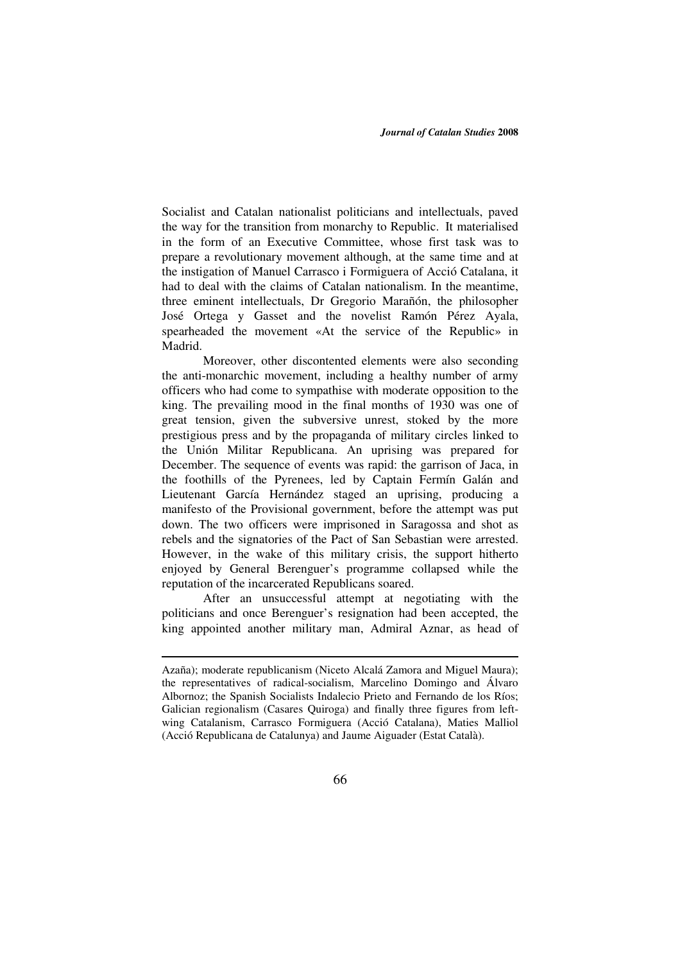Socialist and Catalan nationalist politicians and intellectuals, paved the way for the transition from monarchy to Republic. It materialised in the form of an Executive Committee, whose first task was to prepare a revolutionary movement although, at the same time and at the instigation of Manuel Carrasco i Formiguera of Acció Catalana, it had to deal with the claims of Catalan nationalism. In the meantime, three eminent intellectuals, Dr Gregorio Marañón, the philosopher José Ortega y Gasset and the novelist Ramón Pérez Ayala, spearheaded the movement «At the service of the Republic» in Madrid.

Moreover, other discontented elements were also seconding the anti-monarchic movement, including a healthy number of army officers who had come to sympathise with moderate opposition to the king. The prevailing mood in the final months of 1930 was one of great tension, given the subversive unrest, stoked by the more prestigious press and by the propaganda of military circles linked to the Unión Militar Republicana. An uprising was prepared for December. The sequence of events was rapid: the garrison of Jaca, in the foothills of the Pyrenees, led by Captain Fermín Galán and Lieutenant García Hernández staged an uprising, producing a manifesto of the Provisional government, before the attempt was put down. The two officers were imprisoned in Saragossa and shot as rebels and the signatories of the Pact of San Sebastian were arrested. However, in the wake of this military crisis, the support hitherto enjoyed by General Berenguer's programme collapsed while the reputation of the incarcerated Republicans soared.

 After an unsuccessful attempt at negotiating with the politicians and once Berenguer's resignation had been accepted, the king appointed another military man, Admiral Aznar, as head of

Azaña); moderate republicanism (Niceto Alcalá Zamora and Miguel Maura); the representatives of radical-socialism, Marcelino Domingo and Álvaro Albornoz; the Spanish Socialists Indalecio Prieto and Fernando de los Ríos; Galician regionalism (Casares Quiroga) and finally three figures from leftwing Catalanism, Carrasco Formiguera (Acció Catalana), Maties Malliol (Acció Republicana de Catalunya) and Jaume Aiguader (Estat Català).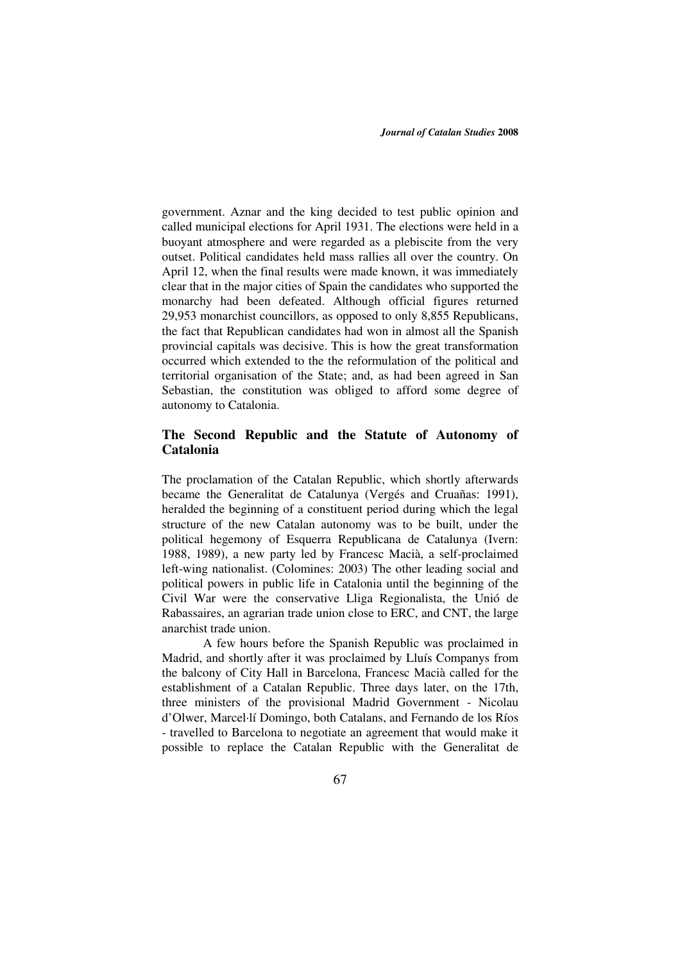government. Aznar and the king decided to test public opinion and called municipal elections for April 1931. The elections were held in a buoyant atmosphere and were regarded as a plebiscite from the very outset. Political candidates held mass rallies all over the country. On April 12, when the final results were made known, it was immediately clear that in the major cities of Spain the candidates who supported the monarchy had been defeated. Although official figures returned 29,953 monarchist councillors, as opposed to only 8,855 Republicans, the fact that Republican candidates had won in almost all the Spanish provincial capitals was decisive. This is how the great transformation occurred which extended to the the reformulation of the political and territorial organisation of the State; and, as had been agreed in San Sebastian, the constitution was obliged to afford some degree of autonomy to Catalonia.

### **The Second Republic and the Statute of Autonomy of Catalonia**

The proclamation of the Catalan Republic, which shortly afterwards became the Generalitat de Catalunya (Vergés and Cruañas: 1991), heralded the beginning of a constituent period during which the legal structure of the new Catalan autonomy was to be built, under the political hegemony of Esquerra Republicana de Catalunya (Ivern: 1988, 1989), a new party led by Francesc Macià, a self-proclaimed left-wing nationalist. (Colomines: 2003) The other leading social and political powers in public life in Catalonia until the beginning of the Civil War were the conservative Lliga Regionalista, the Unió de Rabassaires, an agrarian trade union close to ERC, and CNT, the large anarchist trade union.

A few hours before the Spanish Republic was proclaimed in Madrid, and shortly after it was proclaimed by Lluís Companys from the balcony of City Hall in Barcelona, Francesc Macià called for the establishment of a Catalan Republic. Three days later, on the 17th, three ministers of the provisional Madrid Government - Nicolau d'Olwer, Marcel·lí Domingo, both Catalans, and Fernando de los Ríos - travelled to Barcelona to negotiate an agreement that would make it possible to replace the Catalan Republic with the Generalitat de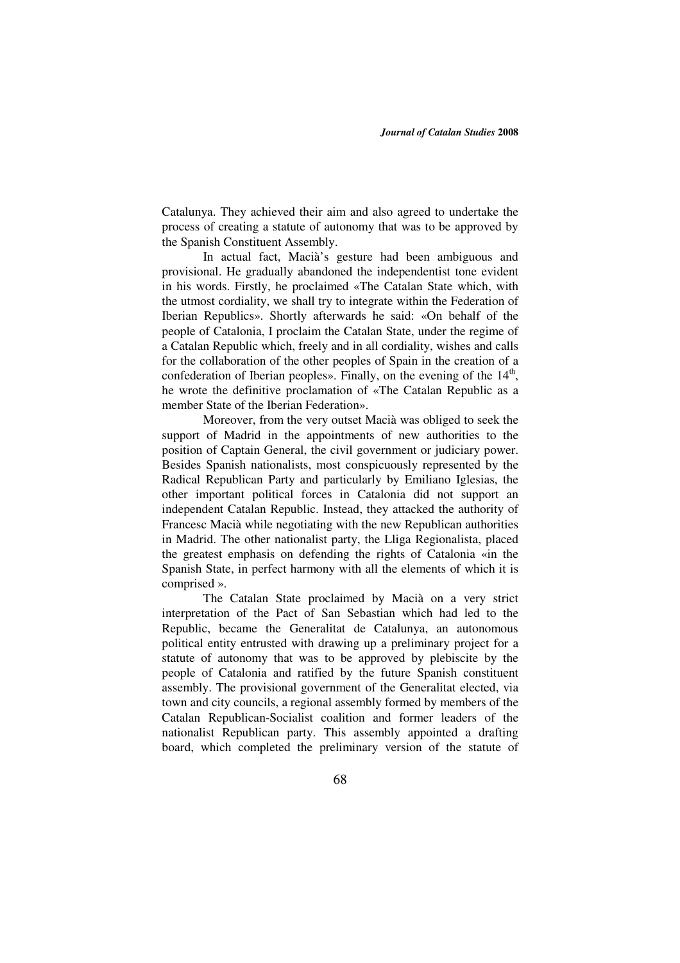Catalunya. They achieved their aim and also agreed to undertake the process of creating a statute of autonomy that was to be approved by the Spanish Constituent Assembly.

In actual fact, Macià's gesture had been ambiguous and provisional. He gradually abandoned the independentist tone evident in his words. Firstly, he proclaimed «The Catalan State which, with the utmost cordiality, we shall try to integrate within the Federation of Iberian Republics». Shortly afterwards he said: «On behalf of the people of Catalonia, I proclaim the Catalan State, under the regime of a Catalan Republic which, freely and in all cordiality, wishes and calls for the collaboration of the other peoples of Spain in the creation of a confederation of Iberian peoples». Finally, on the evening of the  $14<sup>th</sup>$ , he wrote the definitive proclamation of «The Catalan Republic as a member State of the Iberian Federation».

Moreover, from the very outset Macià was obliged to seek the support of Madrid in the appointments of new authorities to the position of Captain General, the civil government or judiciary power. Besides Spanish nationalists, most conspicuously represented by the Radical Republican Party and particularly by Emiliano Iglesias, the other important political forces in Catalonia did not support an independent Catalan Republic. Instead, they attacked the authority of Francesc Macià while negotiating with the new Republican authorities in Madrid. The other nationalist party, the Lliga Regionalista, placed the greatest emphasis on defending the rights of Catalonia «in the Spanish State, in perfect harmony with all the elements of which it is comprised ».

The Catalan State proclaimed by Macià on a very strict interpretation of the Pact of San Sebastian which had led to the Republic, became the Generalitat de Catalunya, an autonomous political entity entrusted with drawing up a preliminary project for a statute of autonomy that was to be approved by plebiscite by the people of Catalonia and ratified by the future Spanish constituent assembly. The provisional government of the Generalitat elected, via town and city councils, a regional assembly formed by members of the Catalan Republican-Socialist coalition and former leaders of the nationalist Republican party. This assembly appointed a drafting board, which completed the preliminary version of the statute of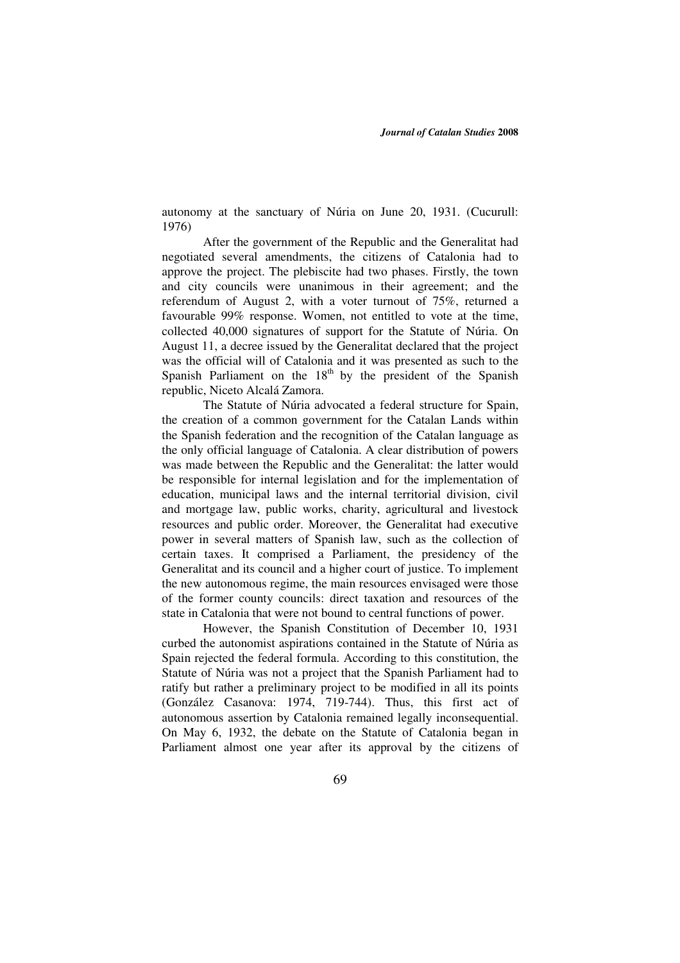autonomy at the sanctuary of Núria on June 20, 1931. (Cucurull: 1976)

After the government of the Republic and the Generalitat had negotiated several amendments, the citizens of Catalonia had to approve the project. The plebiscite had two phases. Firstly, the town and city councils were unanimous in their agreement; and the referendum of August 2, with a voter turnout of 75%, returned a favourable 99% response. Women, not entitled to vote at the time, collected 40,000 signatures of support for the Statute of Núria. On August 11, a decree issued by the Generalitat declared that the project was the official will of Catalonia and it was presented as such to the Spanish Parliament on the  $18<sup>th</sup>$  by the president of the Spanish republic, Niceto Alcalá Zamora.

The Statute of Núria advocated a federal structure for Spain, the creation of a common government for the Catalan Lands within the Spanish federation and the recognition of the Catalan language as the only official language of Catalonia. A clear distribution of powers was made between the Republic and the Generalitat: the latter would be responsible for internal legislation and for the implementation of education, municipal laws and the internal territorial division, civil and mortgage law, public works, charity, agricultural and livestock resources and public order. Moreover, the Generalitat had executive power in several matters of Spanish law, such as the collection of certain taxes. It comprised a Parliament, the presidency of the Generalitat and its council and a higher court of justice. To implement the new autonomous regime, the main resources envisaged were those of the former county councils: direct taxation and resources of the state in Catalonia that were not bound to central functions of power.

However, the Spanish Constitution of December 10, 1931 curbed the autonomist aspirations contained in the Statute of Núria as Spain rejected the federal formula. According to this constitution, the Statute of Núria was not a project that the Spanish Parliament had to ratify but rather a preliminary project to be modified in all its points (González Casanova: 1974, 719-744). Thus, this first act of autonomous assertion by Catalonia remained legally inconsequential. On May 6, 1932, the debate on the Statute of Catalonia began in Parliament almost one year after its approval by the citizens of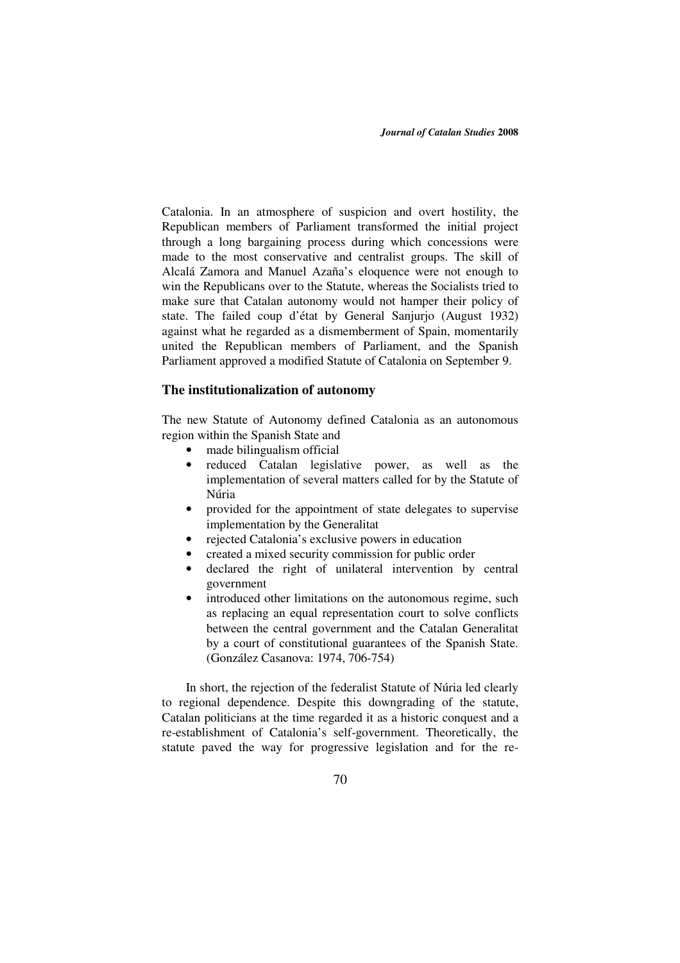Catalonia. In an atmosphere of suspicion and overt hostility, the Republican members of Parliament transformed the initial project through a long bargaining process during which concessions were made to the most conservative and centralist groups. The skill of Alcalá Zamora and Manuel Azaña's eloquence were not enough to win the Republicans over to the Statute, whereas the Socialists tried to make sure that Catalan autonomy would not hamper their policy of state. The failed coup d'état by General Sanjurjo (August 1932) against what he regarded as a dismemberment of Spain, momentarily united the Republican members of Parliament, and the Spanish Parliament approved a modified Statute of Catalonia on September 9.

### **The institutionalization of autonomy**

The new Statute of Autonomy defined Catalonia as an autonomous region within the Spanish State and

- made bilingualism official
- reduced Catalan legislative power, as well as the implementation of several matters called for by the Statute of Núria
- provided for the appointment of state delegates to supervise implementation by the Generalitat
- rejected Catalonia's exclusive powers in education
- created a mixed security commission for public order
- declared the right of unilateral intervention by central government
- introduced other limitations on the autonomous regime, such as replacing an equal representation court to solve conflicts between the central government and the Catalan Generalitat by a court of constitutional guarantees of the Spanish State. (González Casanova: 1974, 706-754)

In short, the rejection of the federalist Statute of Núria led clearly to regional dependence. Despite this downgrading of the statute, Catalan politicians at the time regarded it as a historic conquest and a re-establishment of Catalonia's self-government. Theoretically, the statute paved the way for progressive legislation and for the re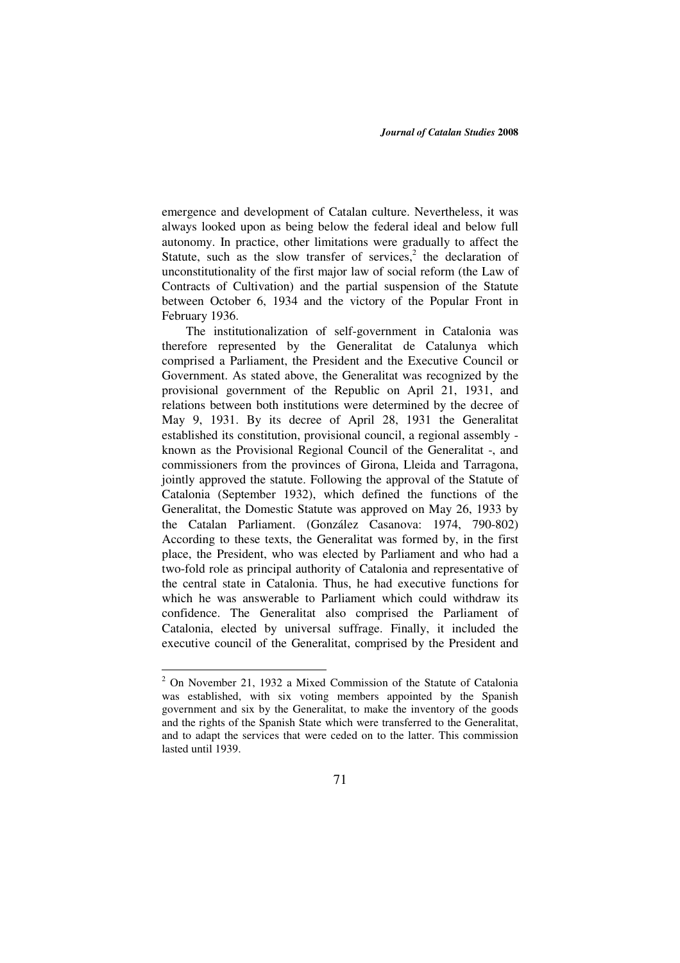emergence and development of Catalan culture. Nevertheless, it was always looked upon as being below the federal ideal and below full autonomy. In practice, other limitations were gradually to affect the Statute, such as the slow transfer of services, $2$  the declaration of unconstitutionality of the first major law of social reform (the Law of Contracts of Cultivation) and the partial suspension of the Statute between October 6, 1934 and the victory of the Popular Front in February 1936.

The institutionalization of self-government in Catalonia was therefore represented by the Generalitat de Catalunya which comprised a Parliament, the President and the Executive Council or Government. As stated above, the Generalitat was recognized by the provisional government of the Republic on April 21, 1931, and relations between both institutions were determined by the decree of May 9, 1931. By its decree of April 28, 1931 the Generalitat established its constitution, provisional council, a regional assembly known as the Provisional Regional Council of the Generalitat -, and commissioners from the provinces of Girona, Lleida and Tarragona, jointly approved the statute. Following the approval of the Statute of Catalonia (September 1932), which defined the functions of the Generalitat, the Domestic Statute was approved on May 26, 1933 by the Catalan Parliament. (González Casanova: 1974, 790-802) According to these texts, the Generalitat was formed by, in the first place, the President, who was elected by Parliament and who had a two-fold role as principal authority of Catalonia and representative of the central state in Catalonia. Thus, he had executive functions for which he was answerable to Parliament which could withdraw its confidence. The Generalitat also comprised the Parliament of Catalonia, elected by universal suffrage. Finally, it included the executive council of the Generalitat, comprised by the President and

<sup>&</sup>lt;sup>2</sup> On November 21, 1932 a Mixed Commission of the Statute of Catalonia was established, with six voting members appointed by the Spanish government and six by the Generalitat, to make the inventory of the goods and the rights of the Spanish State which were transferred to the Generalitat, and to adapt the services that were ceded on to the latter. This commission lasted until 1939.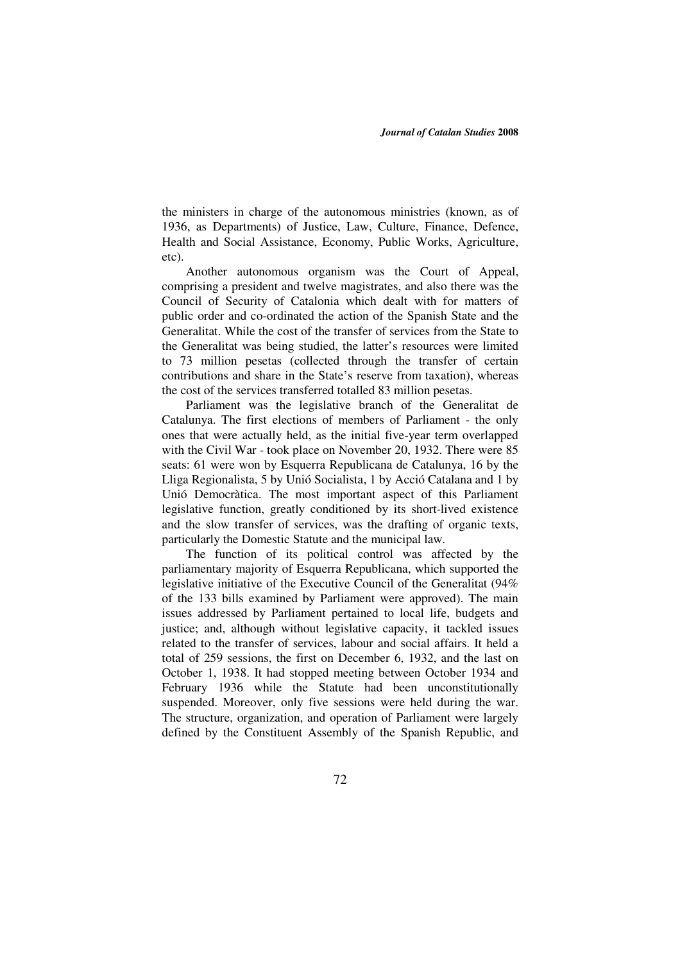the ministers in charge of the autonomous ministries (known, as of 1936, as Departments) of Justice, Law, Culture, Finance, Defence, Health and Social Assistance, Economy, Public Works, Agriculture, etc).

Another autonomous organism was the Court of Appeal, comprising a president and twelve magistrates, and also there was the Council of Security of Catalonia which dealt with for matters of public order and co-ordinated the action of the Spanish State and the Generalitat. While the cost of the transfer of services from the State to the Generalitat was being studied, the latter's resources were limited to 73 million pesetas (collected through the transfer of certain contributions and share in the State's reserve from taxation), whereas the cost of the services transferred totalled 83 million pesetas.

Parliament was the legislative branch of the Generalitat de Catalunya. The first elections of members of Parliament - the only ones that were actually held, as the initial five-year term overlapped with the Civil War - took place on November 20, 1932. There were 85 seats: 61 were won by Esquerra Republicana de Catalunya, 16 by the Lliga Regionalista, 5 by Unió Socialista, 1 by Acció Catalana and 1 by Unió Democràtica. The most important aspect of this Parliament legislative function, greatly conditioned by its short-lived existence and the slow transfer of services, was the drafting of organic texts, particularly the Domestic Statute and the municipal law.

The function of its political control was affected by the parliamentary majority of Esquerra Republicana, which supported the legislative initiative of the Executive Council of the Generalitat (94% of the 133 bills examined by Parliament were approved). The main issues addressed by Parliament pertained to local life, budgets and justice; and, although without legislative capacity, it tackled issues related to the transfer of services, labour and social affairs. It held a total of 259 sessions, the first on December 6, 1932, and the last on October 1, 1938. It had stopped meeting between October 1934 and February 1936 while the Statute had been unconstitutionally suspended. Moreover, only five sessions were held during the war. The structure, organization, and operation of Parliament were largely defined by the Constituent Assembly of the Spanish Republic, and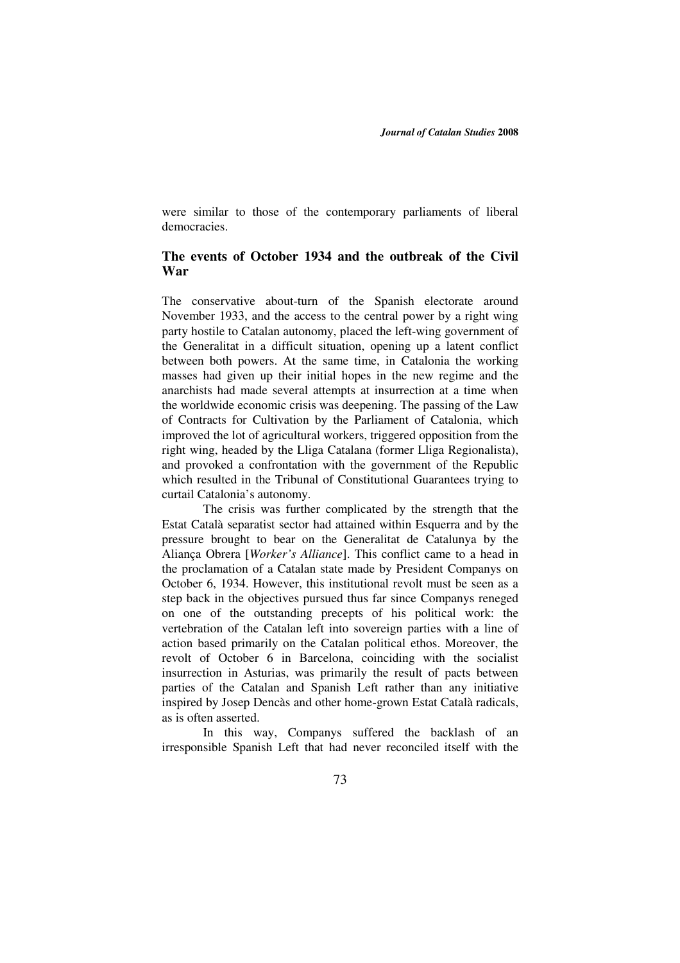were similar to those of the contemporary parliaments of liberal democracies.

## **The events of October 1934 and the outbreak of the Civil War**

The conservative about-turn of the Spanish electorate around November 1933, and the access to the central power by a right wing party hostile to Catalan autonomy, placed the left-wing government of the Generalitat in a difficult situation, opening up a latent conflict between both powers. At the same time, in Catalonia the working masses had given up their initial hopes in the new regime and the anarchists had made several attempts at insurrection at a time when the worldwide economic crisis was deepening. The passing of the Law of Contracts for Cultivation by the Parliament of Catalonia, which improved the lot of agricultural workers, triggered opposition from the right wing, headed by the Lliga Catalana (former Lliga Regionalista), and provoked a confrontation with the government of the Republic which resulted in the Tribunal of Constitutional Guarantees trying to curtail Catalonia's autonomy.

The crisis was further complicated by the strength that the Estat Català separatist sector had attained within Esquerra and by the pressure brought to bear on the Generalitat de Catalunya by the Aliança Obrera [*Worker's Alliance*]. This conflict came to a head in the proclamation of a Catalan state made by President Companys on October 6, 1934. However, this institutional revolt must be seen as a step back in the objectives pursued thus far since Companys reneged on one of the outstanding precepts of his political work: the vertebration of the Catalan left into sovereign parties with a line of action based primarily on the Catalan political ethos. Moreover, the revolt of October 6 in Barcelona, coinciding with the socialist insurrection in Asturias, was primarily the result of pacts between parties of the Catalan and Spanish Left rather than any initiative inspired by Josep Dencàs and other home-grown Estat Català radicals, as is often asserted.

In this way, Companys suffered the backlash of an irresponsible Spanish Left that had never reconciled itself with the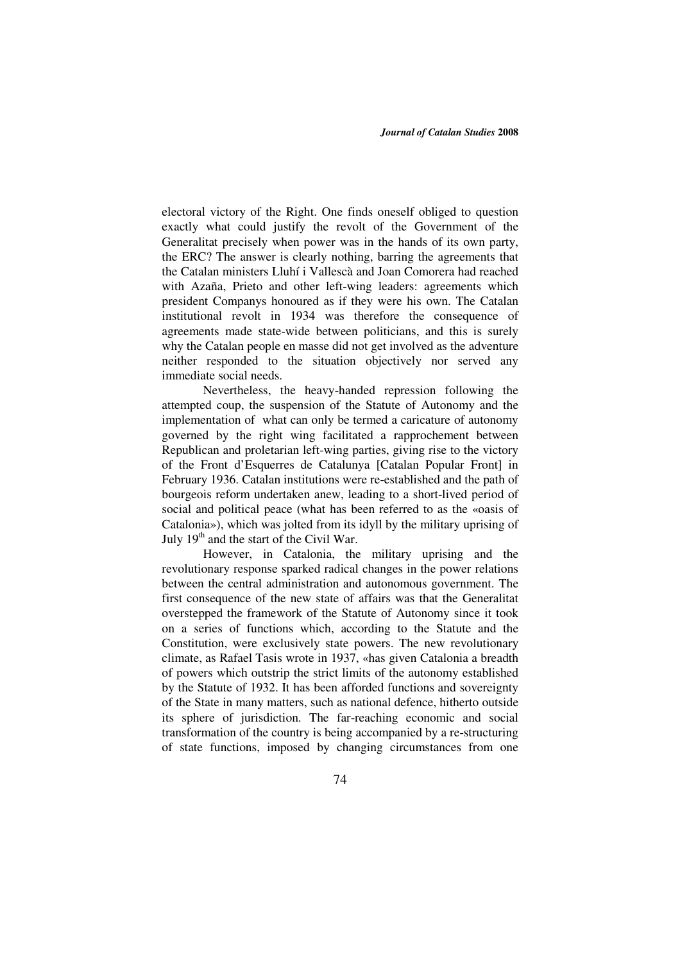electoral victory of the Right. One finds oneself obliged to question exactly what could justify the revolt of the Government of the Generalitat precisely when power was in the hands of its own party, the ERC? The answer is clearly nothing, barring the agreements that the Catalan ministers Lluhí i Vallescà and Joan Comorera had reached with Azaña, Prieto and other left-wing leaders: agreements which president Companys honoured as if they were his own. The Catalan institutional revolt in 1934 was therefore the consequence of agreements made state-wide between politicians, and this is surely why the Catalan people en masse did not get involved as the adventure neither responded to the situation objectively nor served any immediate social needs.

Nevertheless, the heavy-handed repression following the attempted coup, the suspension of the Statute of Autonomy and the implementation of what can only be termed a caricature of autonomy governed by the right wing facilitated a rapprochement between Republican and proletarian left-wing parties, giving rise to the victory of the Front d'Esquerres de Catalunya [Catalan Popular Front] in February 1936. Catalan institutions were re-established and the path of bourgeois reform undertaken anew, leading to a short-lived period of social and political peace (what has been referred to as the «oasis of Catalonia»), which was jolted from its idyll by the military uprising of July  $19<sup>th</sup>$  and the start of the Civil War.

However, in Catalonia, the military uprising and the revolutionary response sparked radical changes in the power relations between the central administration and autonomous government. The first consequence of the new state of affairs was that the Generalitat overstepped the framework of the Statute of Autonomy since it took on a series of functions which, according to the Statute and the Constitution, were exclusively state powers. The new revolutionary climate, as Rafael Tasis wrote in 1937, «has given Catalonia a breadth of powers which outstrip the strict limits of the autonomy established by the Statute of 1932. It has been afforded functions and sovereignty of the State in many matters, such as national defence, hitherto outside its sphere of jurisdiction. The far-reaching economic and social transformation of the country is being accompanied by a re-structuring of state functions, imposed by changing circumstances from one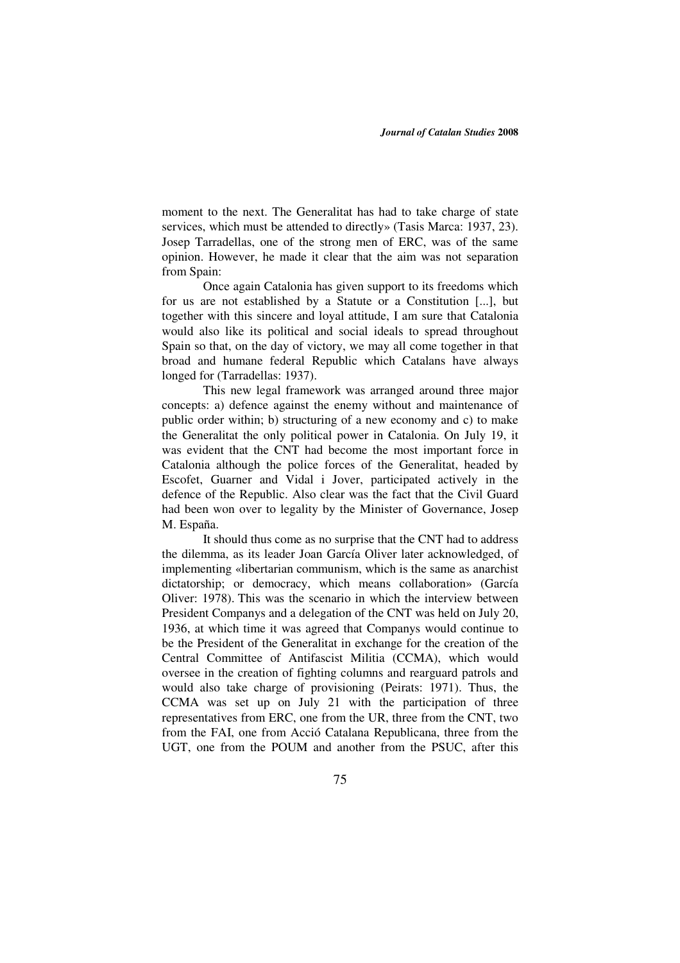moment to the next. The Generalitat has had to take charge of state services, which must be attended to directly» (Tasis Marca: 1937, 23). Josep Tarradellas, one of the strong men of ERC, was of the same opinion. However, he made it clear that the aim was not separation from Spain:

Once again Catalonia has given support to its freedoms which for us are not established by a Statute or a Constitution [...], but together with this sincere and loyal attitude, I am sure that Catalonia would also like its political and social ideals to spread throughout Spain so that, on the day of victory, we may all come together in that broad and humane federal Republic which Catalans have always longed for (Tarradellas: 1937).

This new legal framework was arranged around three major concepts: a) defence against the enemy without and maintenance of public order within; b) structuring of a new economy and c) to make the Generalitat the only political power in Catalonia. On July 19, it was evident that the CNT had become the most important force in Catalonia although the police forces of the Generalitat, headed by Escofet, Guarner and Vidal i Jover, participated actively in the defence of the Republic. Also clear was the fact that the Civil Guard had been won over to legality by the Minister of Governance, Josep M. España.

It should thus come as no surprise that the CNT had to address the dilemma, as its leader Joan García Oliver later acknowledged, of implementing «libertarian communism, which is the same as anarchist dictatorship; or democracy, which means collaboration» (García Oliver: 1978). This was the scenario in which the interview between President Companys and a delegation of the CNT was held on July 20, 1936, at which time it was agreed that Companys would continue to be the President of the Generalitat in exchange for the creation of the Central Committee of Antifascist Militia (CCMA), which would oversee in the creation of fighting columns and rearguard patrols and would also take charge of provisioning (Peirats: 1971). Thus, the CCMA was set up on July 21 with the participation of three representatives from ERC, one from the UR, three from the CNT, two from the FAI, one from Acció Catalana Republicana, three from the UGT, one from the POUM and another from the PSUC, after this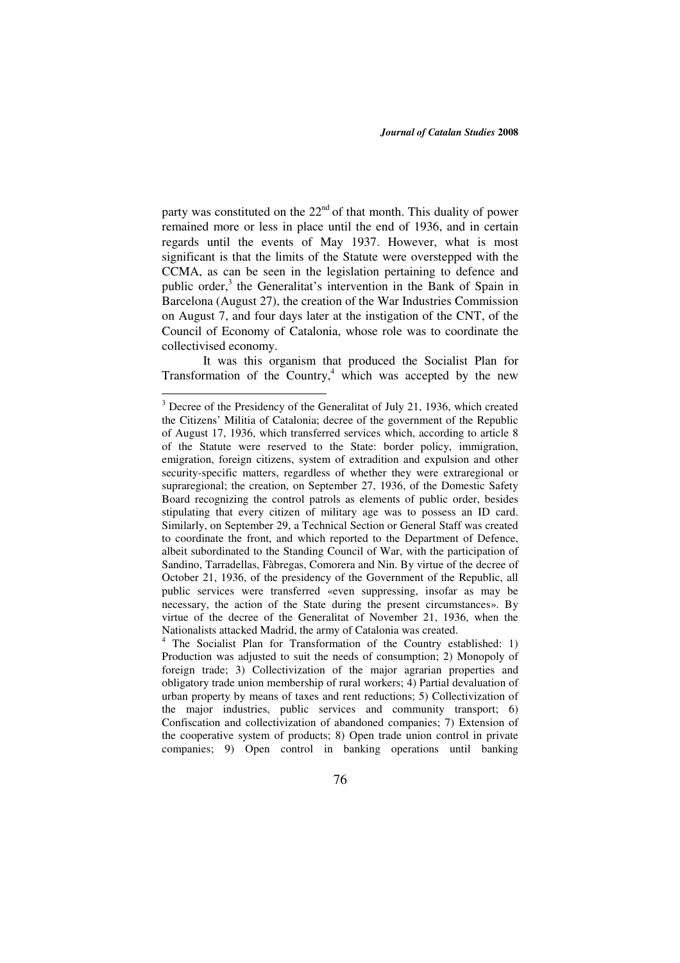party was constituted on the  $22<sup>nd</sup>$  of that month. This duality of power remained more or less in place until the end of 1936, and in certain regards until the events of May 1937. However, what is most significant is that the limits of the Statute were overstepped with the CCMA, as can be seen in the legislation pertaining to defence and public order,<sup>3</sup> the Generalitat's intervention in the Bank of Spain in Barcelona (August 27), the creation of the War Industries Commission on August 7, and four days later at the instigation of the CNT, of the Council of Economy of Catalonia, whose role was to coordinate the collectivised economy.

It was this organism that produced the Socialist Plan for Transformation of the Country, $4$  which was accepted by the new

<u>.</u>

 $3$  Decree of the Presidency of the Generalitat of July 21, 1936, which created the Citizens' Militia of Catalonia; decree of the government of the Republic of August 17, 1936, which transferred services which, according to article 8 of the Statute were reserved to the State: border policy, immigration, emigration, foreign citizens, system of extradition and expulsion and other security-specific matters, regardless of whether they were extraregional or supraregional; the creation, on September 27, 1936, of the Domestic Safety Board recognizing the control patrols as elements of public order, besides stipulating that every citizen of military age was to possess an ID card. Similarly, on September 29, a Technical Section or General Staff was created to coordinate the front, and which reported to the Department of Defence, albeit subordinated to the Standing Council of War, with the participation of Sandino, Tarradellas, Fàbregas, Comorera and Nin. By virtue of the decree of October 21, 1936, of the presidency of the Government of the Republic, all public services were transferred «even suppressing, insofar as may be necessary, the action of the State during the present circumstances». By virtue of the decree of the Generalitat of November 21, 1936, when the Nationalists attacked Madrid, the army of Catalonia was created.

<sup>4</sup> The Socialist Plan for Transformation of the Country established: 1) Production was adjusted to suit the needs of consumption; 2) Monopoly of foreign trade; 3) Collectivization of the major agrarian properties and obligatory trade union membership of rural workers; 4) Partial devaluation of urban property by means of taxes and rent reductions; 5) Collectivization of the major industries, public services and community transport; 6) Confiscation and collectivization of abandoned companies; 7) Extension of the cooperative system of products; 8) Open trade union control in private companies; 9) Open control in banking operations until banking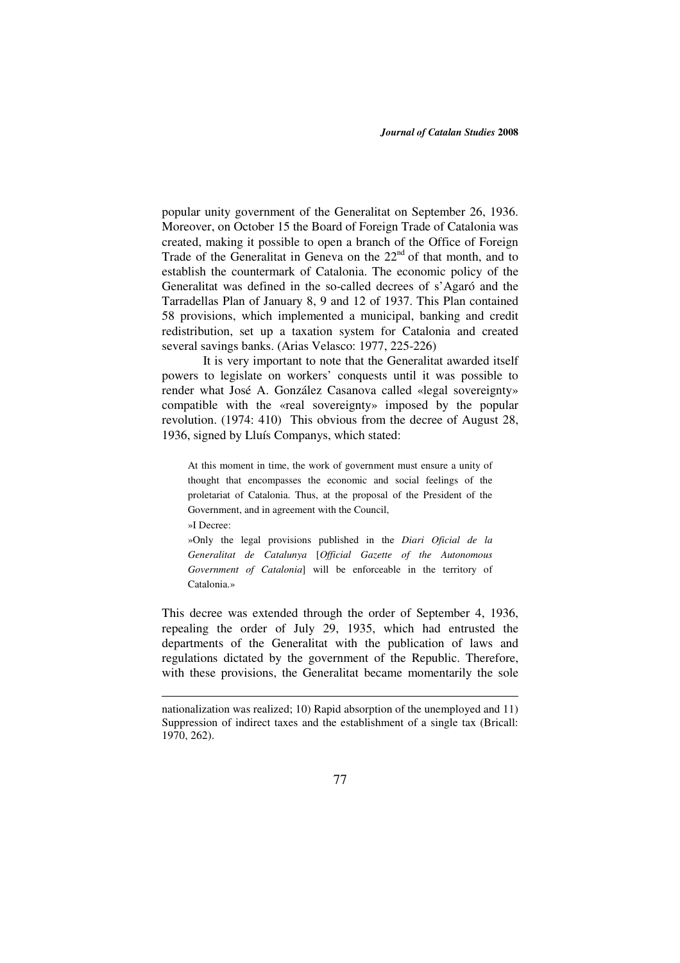popular unity government of the Generalitat on September 26, 1936. Moreover, on October 15 the Board of Foreign Trade of Catalonia was created, making it possible to open a branch of the Office of Foreign Trade of the Generalitat in Geneva on the 22<sup>nd</sup> of that month, and to establish the countermark of Catalonia. The economic policy of the Generalitat was defined in the so-called decrees of s'Agaró and the Tarradellas Plan of January 8, 9 and 12 of 1937. This Plan contained 58 provisions, which implemented a municipal, banking and credit redistribution, set up a taxation system for Catalonia and created several savings banks. (Arias Velasco: 1977, 225-226)

It is very important to note that the Generalitat awarded itself powers to legislate on workers' conquests until it was possible to render what José A. González Casanova called «legal sovereignty» compatible with the «real sovereignty» imposed by the popular revolution. (1974: 410) This obvious from the decree of August 28, 1936, signed by Lluís Companys, which stated:

At this moment in time, the work of government must ensure a unity of thought that encompasses the economic and social feelings of the proletariat of Catalonia. Thus, at the proposal of the President of the Government, and in agreement with the Council, »I Decree:

1

»Only the legal provisions published in the *Diari Oficial de la Generalitat de Catalunya* [*Official Gazette of the Autonomous Government of Catalonia*] will be enforceable in the territory of Catalonia.»

This decree was extended through the order of September 4, 1936, repealing the order of July 29, 1935, which had entrusted the departments of the Generalitat with the publication of laws and regulations dictated by the government of the Republic. Therefore, with these provisions, the Generalitat became momentarily the sole

nationalization was realized; 10) Rapid absorption of the unemployed and 11) Suppression of indirect taxes and the establishment of a single tax (Bricall: 1970, 262).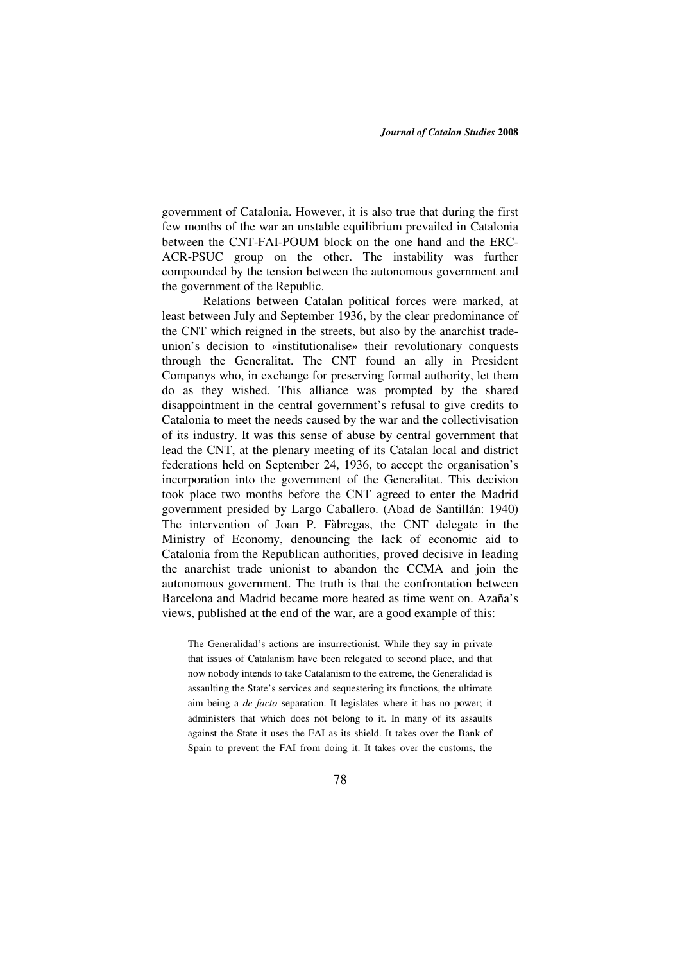government of Catalonia. However, it is also true that during the first few months of the war an unstable equilibrium prevailed in Catalonia between the CNT-FAI-POUM block on the one hand and the ERC-ACR-PSUC group on the other. The instability was further compounded by the tension between the autonomous government and the government of the Republic.

Relations between Catalan political forces were marked, at least between July and September 1936, by the clear predominance of the CNT which reigned in the streets, but also by the anarchist tradeunion's decision to «institutionalise» their revolutionary conquests through the Generalitat. The CNT found an ally in President Companys who, in exchange for preserving formal authority, let them do as they wished. This alliance was prompted by the shared disappointment in the central government's refusal to give credits to Catalonia to meet the needs caused by the war and the collectivisation of its industry. It was this sense of abuse by central government that lead the CNT, at the plenary meeting of its Catalan local and district federations held on September 24, 1936, to accept the organisation's incorporation into the government of the Generalitat. This decision took place two months before the CNT agreed to enter the Madrid government presided by Largo Caballero. (Abad de Santillán: 1940) The intervention of Joan P. Fàbregas, the CNT delegate in the Ministry of Economy, denouncing the lack of economic aid to Catalonia from the Republican authorities, proved decisive in leading the anarchist trade unionist to abandon the CCMA and join the autonomous government. The truth is that the confrontation between Barcelona and Madrid became more heated as time went on. Azaña's views, published at the end of the war, are a good example of this:

The Generalidad's actions are insurrectionist. While they say in private that issues of Catalanism have been relegated to second place, and that now nobody intends to take Catalanism to the extreme, the Generalidad is assaulting the State's services and sequestering its functions, the ultimate aim being a *de facto* separation. It legislates where it has no power; it administers that which does not belong to it. In many of its assaults against the State it uses the FAI as its shield. It takes over the Bank of Spain to prevent the FAI from doing it. It takes over the customs, the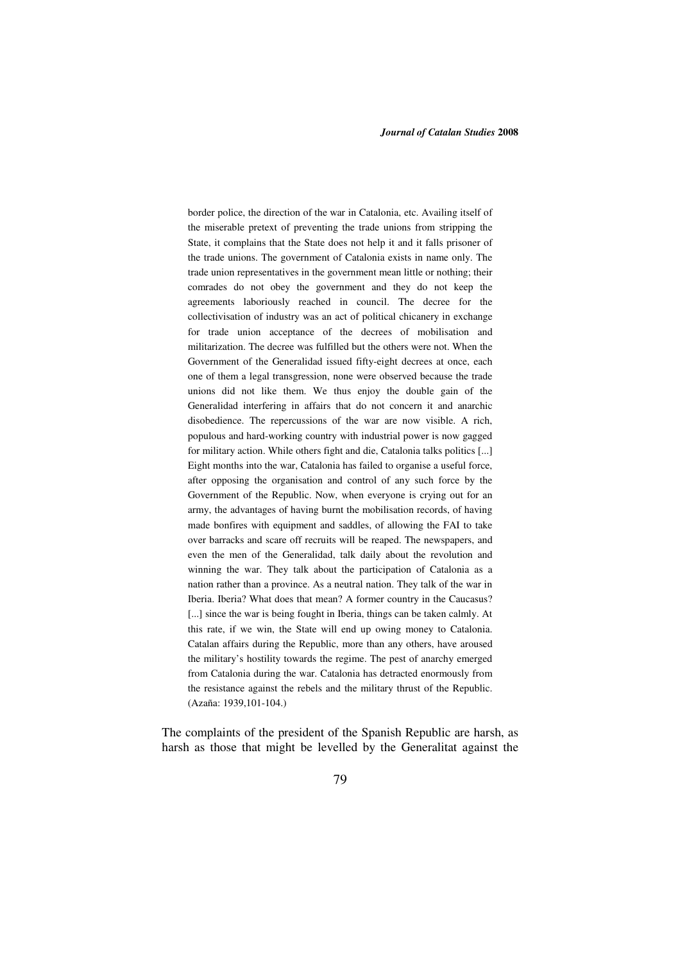border police, the direction of the war in Catalonia, etc. Availing itself of the miserable pretext of preventing the trade unions from stripping the State, it complains that the State does not help it and it falls prisoner of the trade unions. The government of Catalonia exists in name only. The trade union representatives in the government mean little or nothing; their comrades do not obey the government and they do not keep the agreements laboriously reached in council. The decree for the collectivisation of industry was an act of political chicanery in exchange for trade union acceptance of the decrees of mobilisation and militarization. The decree was fulfilled but the others were not. When the Government of the Generalidad issued fifty-eight decrees at once, each one of them a legal transgression, none were observed because the trade unions did not like them. We thus enjoy the double gain of the Generalidad interfering in affairs that do not concern it and anarchic disobedience. The repercussions of the war are now visible. A rich, populous and hard-working country with industrial power is now gagged for military action. While others fight and die, Catalonia talks politics [...] Eight months into the war, Catalonia has failed to organise a useful force, after opposing the organisation and control of any such force by the Government of the Republic. Now, when everyone is crying out for an army, the advantages of having burnt the mobilisation records, of having made bonfires with equipment and saddles, of allowing the FAI to take over barracks and scare off recruits will be reaped. The newspapers, and even the men of the Generalidad, talk daily about the revolution and winning the war. They talk about the participation of Catalonia as a nation rather than a province. As a neutral nation. They talk of the war in Iberia. Iberia? What does that mean? A former country in the Caucasus? [...] since the war is being fought in Iberia, things can be taken calmly. At this rate, if we win, the State will end up owing money to Catalonia. Catalan affairs during the Republic, more than any others, have aroused the military's hostility towards the regime. The pest of anarchy emerged from Catalonia during the war. Catalonia has detracted enormously from the resistance against the rebels and the military thrust of the Republic. (Azaña: 1939,101-104.)

The complaints of the president of the Spanish Republic are harsh, as harsh as those that might be levelled by the Generalitat against the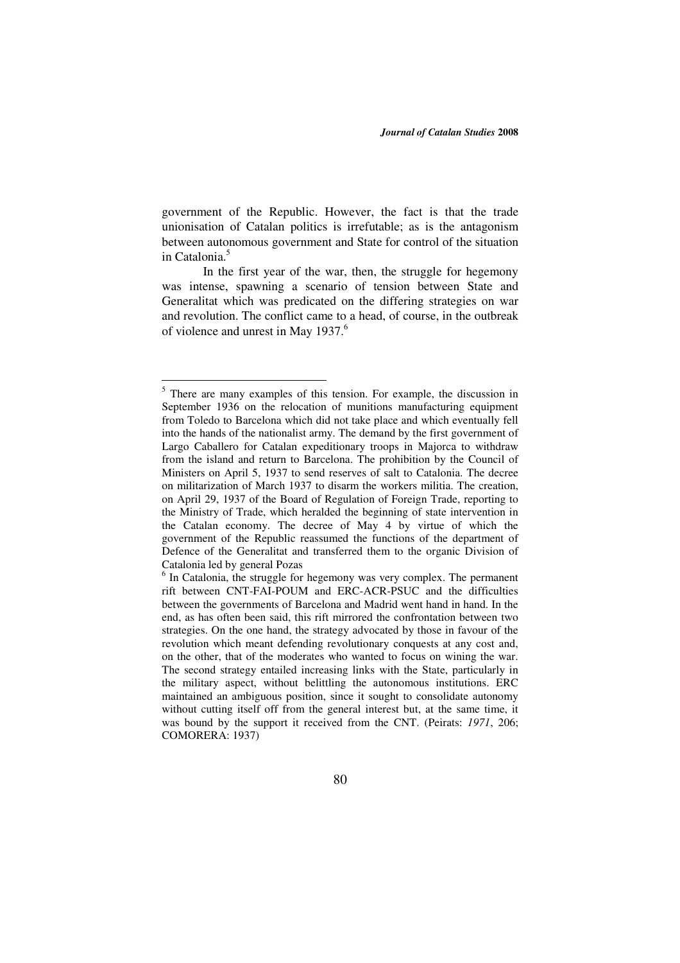government of the Republic. However, the fact is that the trade unionisation of Catalan politics is irrefutable; as is the antagonism between autonomous government and State for control of the situation in Catalonia.<sup>5</sup>

In the first year of the war, then, the struggle for hegemony was intense, spawning a scenario of tension between State and Generalitat which was predicated on the differing strategies on war and revolution. The conflict came to a head, of course, in the outbreak of violence and unrest in May 1937.<sup>6</sup>

<u>.</u>

<sup>&</sup>lt;sup>5</sup> There are many examples of this tension. For example, the discussion in September 1936 on the relocation of munitions manufacturing equipment from Toledo to Barcelona which did not take place and which eventually fell into the hands of the nationalist army. The demand by the first government of Largo Caballero for Catalan expeditionary troops in Majorca to withdraw from the island and return to Barcelona. The prohibition by the Council of Ministers on April 5, 1937 to send reserves of salt to Catalonia. The decree on militarization of March 1937 to disarm the workers militia. The creation, on April 29, 1937 of the Board of Regulation of Foreign Trade, reporting to the Ministry of Trade, which heralded the beginning of state intervention in the Catalan economy. The decree of May 4 by virtue of which the government of the Republic reassumed the functions of the department of Defence of the Generalitat and transferred them to the organic Division of Catalonia led by general Pozas

<sup>&</sup>lt;sup>6</sup> In Catalonia, the struggle for hegemony was very complex. The permanent rift between CNT-FAI-POUM and ERC-ACR-PSUC and the difficulties between the governments of Barcelona and Madrid went hand in hand. In the end, as has often been said, this rift mirrored the confrontation between two strategies. On the one hand, the strategy advocated by those in favour of the revolution which meant defending revolutionary conquests at any cost and, on the other, that of the moderates who wanted to focus on wining the war. The second strategy entailed increasing links with the State, particularly in the military aspect, without belittling the autonomous institutions. ERC maintained an ambiguous position, since it sought to consolidate autonomy without cutting itself off from the general interest but, at the same time, it was bound by the support it received from the CNT. (Peirats: *1971*, 206; COMORERA: 1937)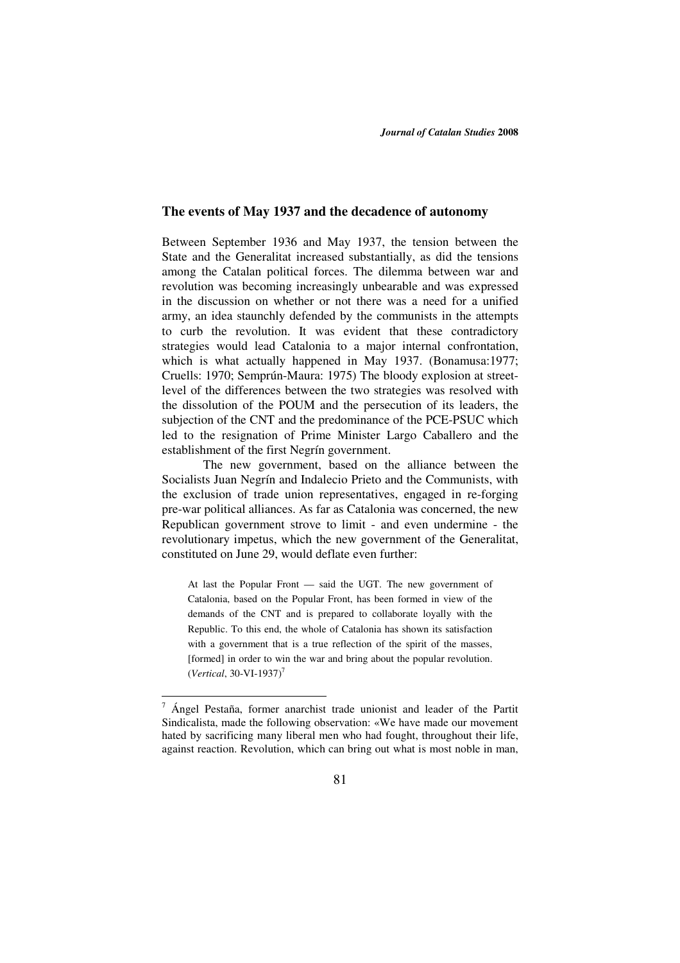### **The events of May 1937 and the decadence of autonomy**

Between September 1936 and May 1937, the tension between the State and the Generalitat increased substantially, as did the tensions among the Catalan political forces. The dilemma between war and revolution was becoming increasingly unbearable and was expressed in the discussion on whether or not there was a need for a unified army, an idea staunchly defended by the communists in the attempts to curb the revolution. It was evident that these contradictory strategies would lead Catalonia to a major internal confrontation, which is what actually happened in May 1937. (Bonamusa:1977; Cruells: 1970; Semprún-Maura: 1975) The bloody explosion at streetlevel of the differences between the two strategies was resolved with the dissolution of the POUM and the persecution of its leaders, the subjection of the CNT and the predominance of the PCE-PSUC which led to the resignation of Prime Minister Largo Caballero and the establishment of the first Negrín government.

The new government, based on the alliance between the Socialists Juan Negrín and Indalecio Prieto and the Communists, with the exclusion of trade union representatives, engaged in re-forging pre-war political alliances. As far as Catalonia was concerned, the new Republican government strove to limit - and even undermine - the revolutionary impetus, which the new government of the Generalitat, constituted on June 29, would deflate even further:

At last the Popular Front — said the UGT. The new government of Catalonia, based on the Popular Front, has been formed in view of the demands of the CNT and is prepared to collaborate loyally with the Republic. To this end, the whole of Catalonia has shown its satisfaction with a government that is a true reflection of the spirit of the masses, [formed] in order to win the war and bring about the popular revolution. (*Vertical*, 30-VI-1937)<sup>7</sup>

 $7$  Ángel Pestaña, former anarchist trade unionist and leader of the Partit Sindicalista, made the following observation: «We have made our movement hated by sacrificing many liberal men who had fought, throughout their life, against reaction. Revolution, which can bring out what is most noble in man,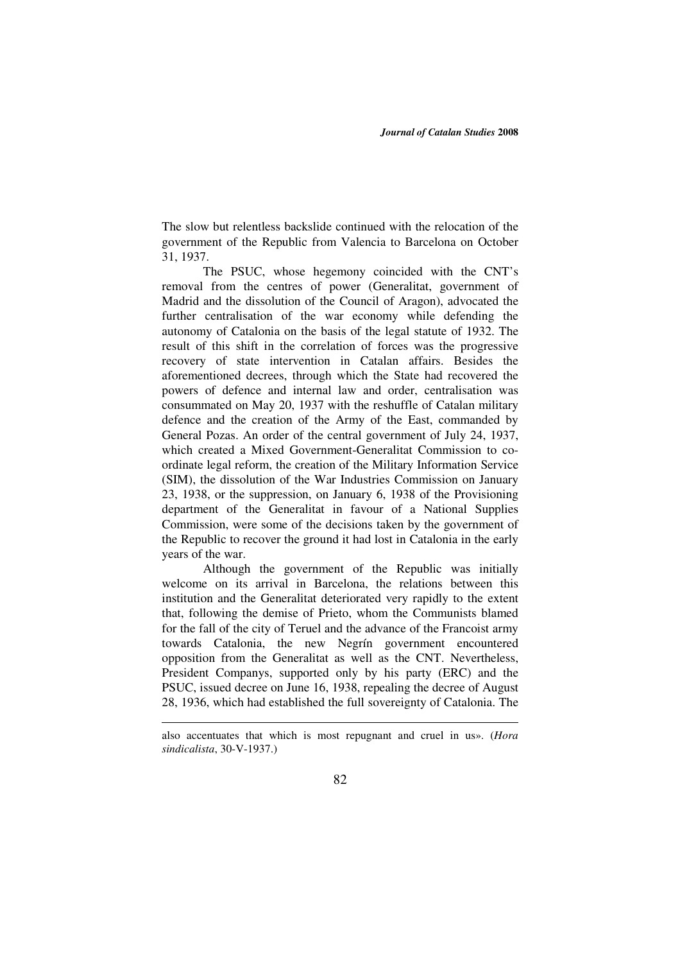The slow but relentless backslide continued with the relocation of the government of the Republic from Valencia to Barcelona on October 31, 1937.

The PSUC, whose hegemony coincided with the CNT's removal from the centres of power (Generalitat, government of Madrid and the dissolution of the Council of Aragon), advocated the further centralisation of the war economy while defending the autonomy of Catalonia on the basis of the legal statute of 1932. The result of this shift in the correlation of forces was the progressive recovery of state intervention in Catalan affairs. Besides the aforementioned decrees, through which the State had recovered the powers of defence and internal law and order, centralisation was consummated on May 20, 1937 with the reshuffle of Catalan military defence and the creation of the Army of the East, commanded by General Pozas. An order of the central government of July 24, 1937, which created a Mixed Government-Generalitat Commission to coordinate legal reform, the creation of the Military Information Service (SIM), the dissolution of the War Industries Commission on January 23, 1938, or the suppression, on January 6, 1938 of the Provisioning department of the Generalitat in favour of a National Supplies Commission, were some of the decisions taken by the government of the Republic to recover the ground it had lost in Catalonia in the early years of the war.

Although the government of the Republic was initially welcome on its arrival in Barcelona, the relations between this institution and the Generalitat deteriorated very rapidly to the extent that, following the demise of Prieto, whom the Communists blamed for the fall of the city of Teruel and the advance of the Francoist army towards Catalonia, the new Negrín government encountered opposition from the Generalitat as well as the CNT. Nevertheless, President Companys, supported only by his party (ERC) and the PSUC, issued decree on June 16, 1938, repealing the decree of August 28, 1936, which had established the full sovereignty of Catalonia. The

also accentuates that which is most repugnant and cruel in us». (*Hora sindicalista*, 30-V-1937.)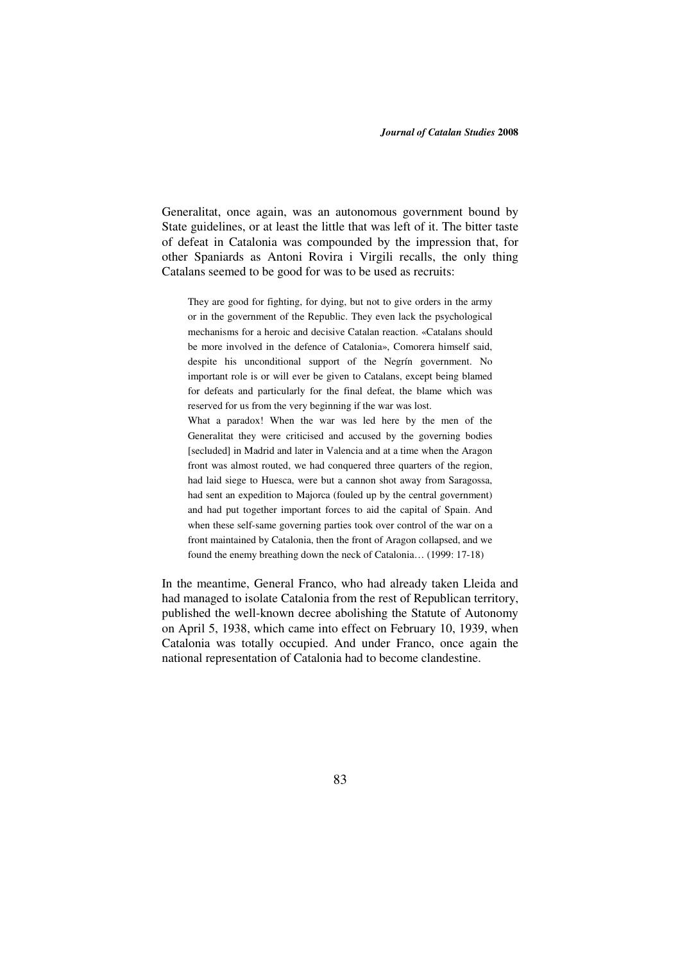Generalitat, once again, was an autonomous government bound by State guidelines, or at least the little that was left of it. The bitter taste of defeat in Catalonia was compounded by the impression that, for other Spaniards as Antoni Rovira i Virgili recalls, the only thing Catalans seemed to be good for was to be used as recruits:

They are good for fighting, for dying, but not to give orders in the army or in the government of the Republic. They even lack the psychological mechanisms for a heroic and decisive Catalan reaction. «Catalans should be more involved in the defence of Catalonia», Comorera himself said, despite his unconditional support of the Negrín government. No important role is or will ever be given to Catalans, except being blamed for defeats and particularly for the final defeat, the blame which was reserved for us from the very beginning if the war was lost.

What a paradox! When the war was led here by the men of the Generalitat they were criticised and accused by the governing bodies [secluded] in Madrid and later in Valencia and at a time when the Aragon front was almost routed, we had conquered three quarters of the region, had laid siege to Huesca, were but a cannon shot away from Saragossa, had sent an expedition to Majorca (fouled up by the central government) and had put together important forces to aid the capital of Spain. And when these self-same governing parties took over control of the war on a front maintained by Catalonia, then the front of Aragon collapsed, and we found the enemy breathing down the neck of Catalonia… (1999: 17-18)

In the meantime, General Franco, who had already taken Lleida and had managed to isolate Catalonia from the rest of Republican territory, published the well-known decree abolishing the Statute of Autonomy on April 5, 1938, which came into effect on February 10, 1939, when Catalonia was totally occupied. And under Franco, once again the national representation of Catalonia had to become clandestine.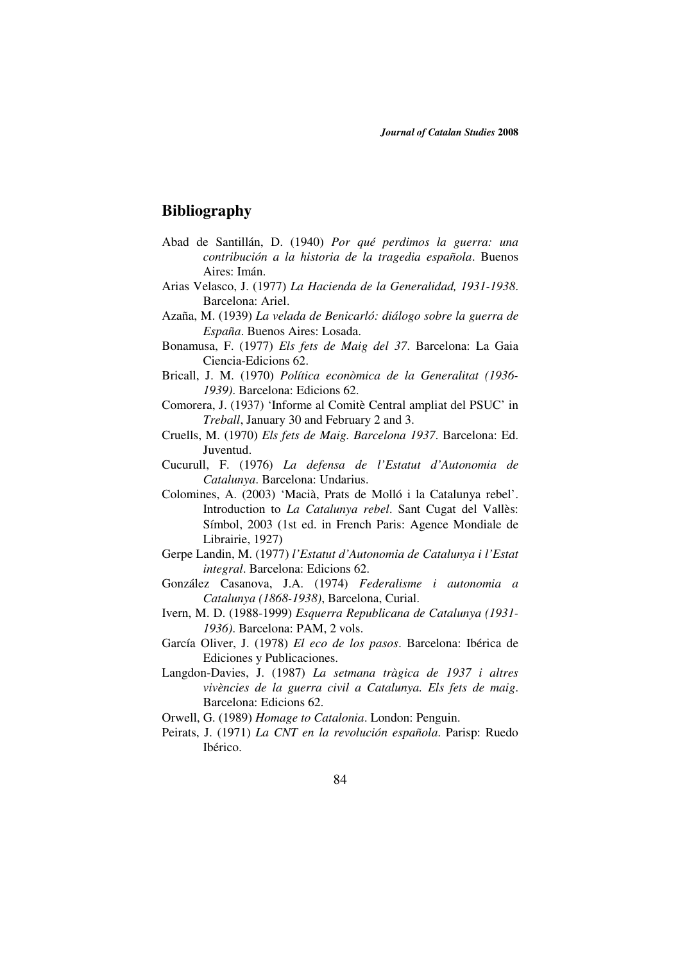# **Bibliography**

- Abad de Santillán, D. (1940) *Por qué perdimos la guerra: una contribución a la historia de la tragedia española*. Buenos Aires: Imán.
- Arias Velasco, J. (1977) *La Hacienda de la Generalidad, 1931-1938*. Barcelona: Ariel.
- Azaña, M. (1939) *La velada de Benicarló: diálogo sobre la guerra de España*. Buenos Aires: Losada.
- Bonamusa, F. (1977) *Els fets de Maig del 37*. Barcelona: La Gaia Ciencia-Edicions 62.
- Bricall, J. M. (1970) *Política econòmica de la Generalitat (1936- 1939)*. Barcelona: Edicions 62.
- Comorera, J. (1937) 'Informe al Comitè Central ampliat del PSUC' in *Treball*, January 30 and February 2 and 3.
- Cruells, M. (1970) *Els fets de Maig. Barcelona 1937*. Barcelona: Ed. Juventud.
- Cucurull, F. (1976) *La defensa de l'Estatut d'Autonomia de Catalunya*. Barcelona: Undarius.
- Colomines, A. (2003) 'Macià, Prats de Molló i la Catalunya rebel'. Introduction to *La Catalunya rebel*. Sant Cugat del Vallès: Símbol, 2003 (1st ed. in French Paris: Agence Mondiale de Librairie, 1927)
- Gerpe Landin, M. (1977) *l'Estatut d'Autonomia de Catalunya i l'Estat integral*. Barcelona: Edicions 62.
- González Casanova, J.A. (1974) *Federalisme i autonomia a Catalunya (1868-1938)*, Barcelona, Curial.
- Ivern, M. D. (1988-1999) *Esquerra Republicana de Catalunya (1931- 1936)*. Barcelona: PAM, 2 vols.
- García Oliver, J. (1978) *El eco de los pasos*. Barcelona: Ibérica de Ediciones y Publicaciones.
- Langdon-Davies, J. (1987) *La setmana tràgica de 1937 i altres vivències de la guerra civil a Catalunya. Els fets de maig*. Barcelona: Edicions 62.
- Orwell, G. (1989) *Homage to Catalonia*. London: Penguin.
- Peirats, J. (1971) *La CNT en la revolución española*. Parisp: Ruedo Ibérico.